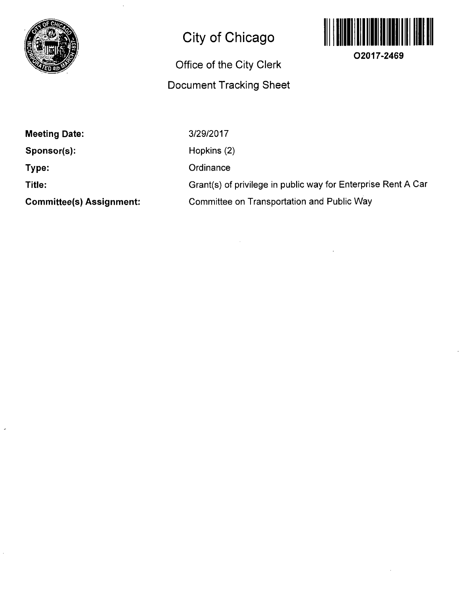

## **City of Chicago**

## **Office of the City Clerk Document Tracking Sheet**



**O2017-2469** 

**Meeting Date:** 

**Sponsor(s):** 

**Type:** 

**Title:** 

**Committee(s) Assignment:** 

3/29/2017 Hopkins (2) **Ordinance** Grant(s) of privilege in public way for Enterprise Rent A Car Committee on Transportation and Public Way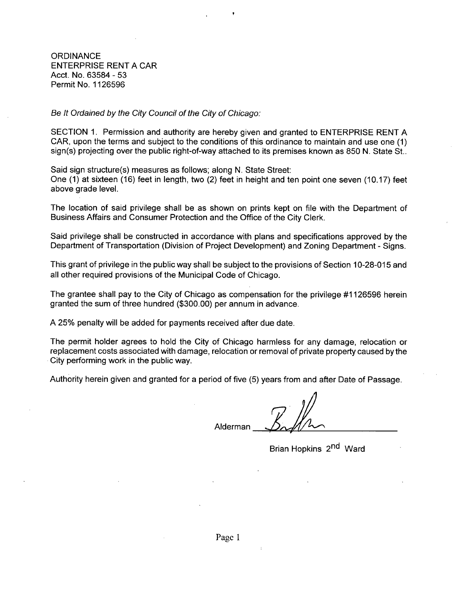**ORDINANCE** ENTERPRISE RENT A CAR Acct. No. 63584 - 53 Permit No. 1126596

Be It Ordained by the City Council of the City of Chicago:

SECTION 1. Permission and authority are hereby given and granted to ENTERPRISE RENT A CAR, upon the terms and subject to the conditions of this ordinance to maintain and use one (1) sign(s) projecting over the public right-of-way attached to its premises known as 850 N. State St..

Said sign structure(s) measures as follows; along N. State Street: One (1) at sixteen (16) feet in length, two (2) feet in height and ten point one seven (10.17) feet above grade level.

The location of said privilege shall be as shown on prints kept on file with the Department of Business Affairs and Consumer Protection and the Office of the City Clerk.

Said privilege shall be constructed in accordance with plans and specifications approved by the Department of Transportation (Division of Project Development) and Zoning Department - Signs.

This grant of privilege in the public way shall be subject to the provisions of Section 10-28-015 and all other required provisions of the Municipal Code of Chicago.

The grantee shall pay to the City of Chicago as compensation for the privilege #1126596 herein granted the sum of three hundred (\$300.00) per annum in advance.

A 25% penalty will be added for payments received after due date.

The permit holder agrees to hold the City of Chicago harmless for any damage, relocation or replacement costs associated with damage, relocation or removal of private property caused by the City performing work in the public way.

Authority herein given and granted for a period of five (5) years from and after Date of Passage.

Alderman

Brian Hopkins 2<sup>nd</sup> Ward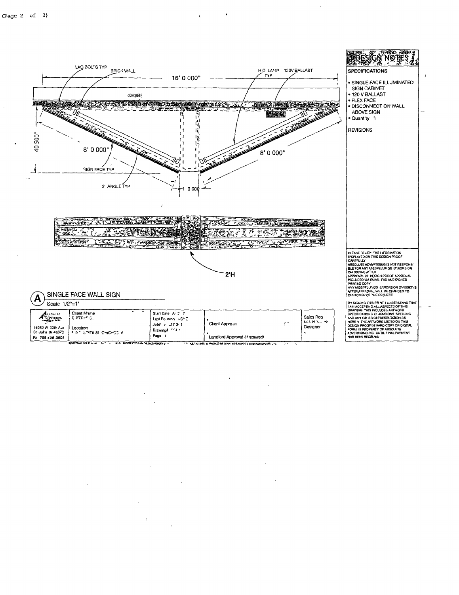